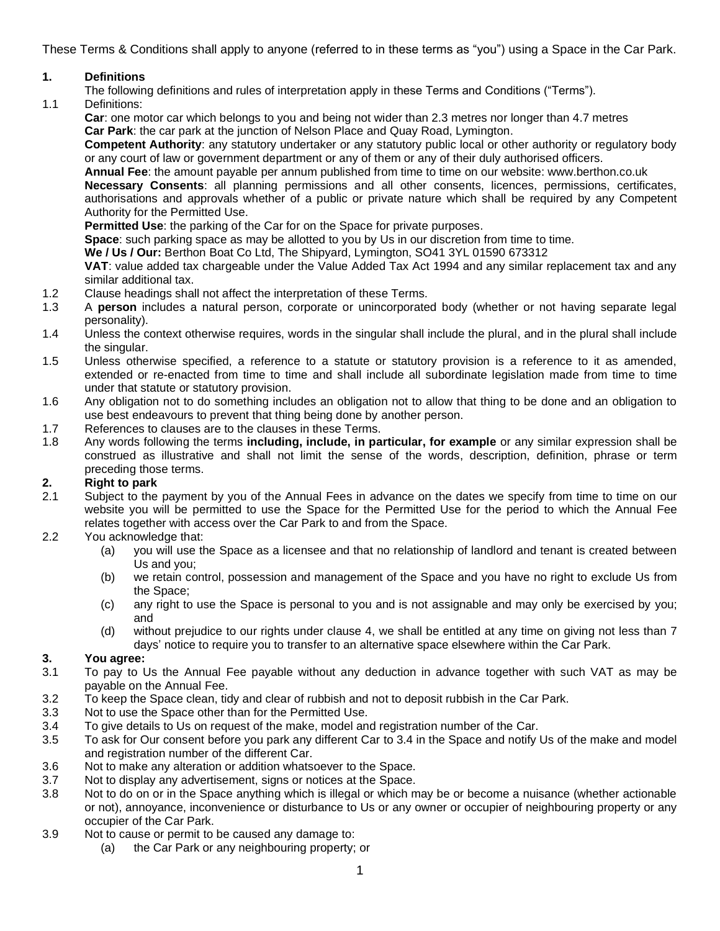These Terms & Conditions shall apply to anyone (referred to in these terms as "you") using a Space in the Car Park.

### **1. Definitions**

- The following definitions and rules of interpretation apply in these Terms and Conditions ("Terms").
- 1.1 Definitions:

**Car**: one motor car which belongs to you and being not wider than 2.3 metres nor longer than 4.7 metres **Car Park**: the car park at the junction of Nelson Place and Quay Road, Lymington.

**Competent Authority**: any statutory undertaker or any statutory public local or other authority or regulatory body or any court of law or government department or any of them or any of their duly authorised officers.

**Annual Fee**: the amount payable per annum published from time to time on our website: www.berthon.co.uk

**Necessary Consents**: all planning permissions and all other consents, licences, permissions, certificates, authorisations and approvals whether of a public or private nature which shall be required by any Competent Authority for the Permitted Use.

**Permitted Use**: the parking of the Car for on the Space for private purposes.

**Space**: such parking space as may be allotted to you by Us in our discretion from time to time.

**We / Us / Our:** Berthon Boat Co Ltd, The Shipyard, Lymington, SO41 3YL 01590 673312

**VAT**: value added tax chargeable under the Value Added Tax Act 1994 and any similar replacement tax and any similar additional tax.

- 1.2 Clause headings shall not affect the interpretation of these Terms.
- 1.3 A **person** includes a natural person, corporate or unincorporated body (whether or not having separate legal personality).
- 1.4 Unless the context otherwise requires, words in the singular shall include the plural, and in the plural shall include the singular.
- 1.5 Unless otherwise specified, a reference to a statute or statutory provision is a reference to it as amended, extended or re-enacted from time to time and shall include all subordinate legislation made from time to time under that statute or statutory provision.
- 1.6 Any obligation not to do something includes an obligation not to allow that thing to be done and an obligation to use best endeavours to prevent that thing being done by another person.
- 1.7 References to clauses are to the clauses in these Terms.
- 1.8 Any words following the terms **including, include, in particular, for example** or any similar expression shall be construed as illustrative and shall not limit the sense of the words, description, definition, phrase or term preceding those terms.

#### <span id="page-0-0"></span>**2. Right to park**

- 2.1 Subject to the payment by you of the Annual Fees in advance on the dates we specify from time to time on our website you will be permitted to use the Space for the Permitted Use for the period to which the Annual Fee relates together with access over the Car Park to and from the Space.
- 2.2 You acknowledge that:
	- (a) you will use the Space as a licensee and that no relationship of landlord and tenant is created between Us and you;
	- (b) we retain control, possession and management of the Space and you have no right to exclude Us from the Space;
	- (c) any right to use the Space is personal to you and is not assignable and may only be exercised by you; and
	- (d) without prejudice to our rights under clause [4,](#page-1-0) we shall be entitled at any time on giving not less than 7 days' notice to require you to transfer to an alternative space elsewhere within the Car Park.

# **3. You agree:**

- To pay to Us the Annual Fee payable without any deduction in advance together with such VAT as may be payable on the Annual Fee.
- 3.2 To keep the Space clean, tidy and clear of rubbish and not to deposit rubbish in the Car Park.
- 3.3 Not to use the Space other than for the Permitted Use.
- 3.4 To give details to Us on request of the make, model and registration number of the Car.
- 3.5 To ask for Our consent before you park any different Car to 3.4 in the Space and notify Us of the make and model and registration number of the different Car.
- 3.6 Not to make any alteration or addition whatsoever to the Space.
- 3.7 Not to display any advertisement, signs or notices at the Space.
- 3.8 Not to do on or in the Space anything which is illegal or which may be or become a nuisance (whether actionable or not), annoyance, inconvenience or disturbance to Us or any owner or occupier of neighbouring property or any occupier of the Car Park.
- 3.9 Not to cause or permit to be caused any damage to:
	- (a) the Car Park or any neighbouring property; or